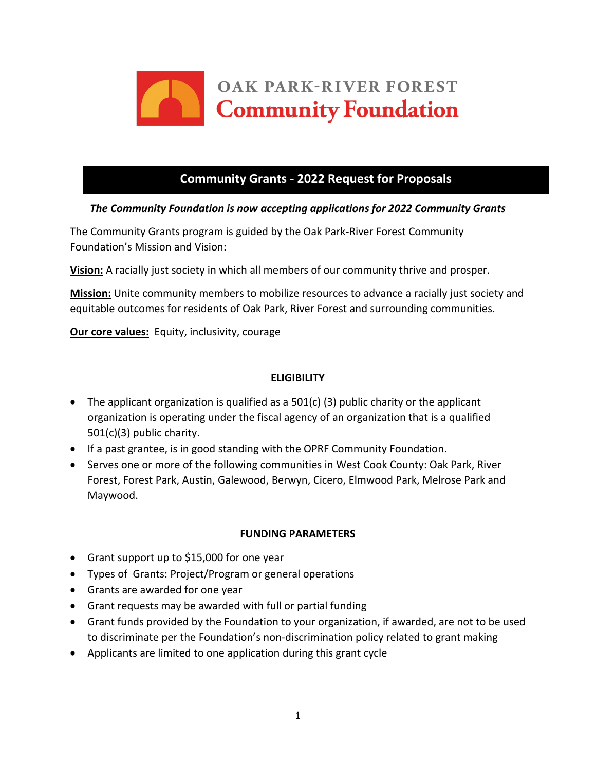

# **Community Grants - 2022 Request for Proposals**

## *The Community Foundation is now accepting applications for 2022 Community Grants*

The Community Grants program is guided by the Oak Park-River Forest Community Foundation's Mission and Vision:

**Vision:** A racially just society in which all members of our community thrive and prosper.

**Mission:** Unite community members to mobilize resources to advance a racially just society and equitable outcomes for residents of Oak Park, River Forest and surrounding communities.

**Our core values:** Equity, inclusivity, courage

## **ELIGIBILITY**

- The applicant organization is qualified as a  $501(c)$  (3) public charity or the applicant organization is operating under the fiscal agency of an organization that is a qualified 501(c)(3) public charity.
- If a past grantee, is in good standing with the OPRF Community Foundation.
- Serves one or more of the following communities in West Cook County: Oak Park, River Forest, Forest Park, Austin, Galewood, Berwyn, Cicero, Elmwood Park, Melrose Park and Maywood.

## **FUNDING PARAMETERS**

- Grant support up to \$15,000 for one year
- Types of Grants: Project/Program or general operations
- Grants are awarded for one year
- Grant requests may be awarded with full or partial funding
- Grant funds provided by the Foundation to your organization, if awarded, are not to be used to discriminate per the Foundation's non-discrimination policy related to grant making
- Applicants are limited to one application during this grant cycle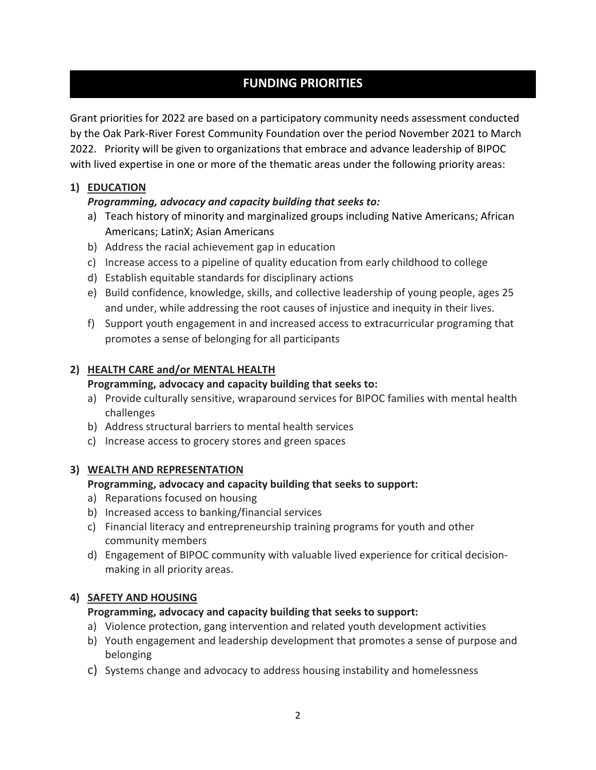# **FUNDING PRIORITIES**

Grant priorities for 2022 are based on a participatory community needs assessment conducted by the Oak Park-River Forest Community Foundation over the period November 2021 to March 2022. Priority will be given to organizations that embrace and advance leadership of BIPOC with lived expertise in one or more of the thematic areas under the following priority areas:

## **1) EDUCATION**

# *Programming, advocacy and capacity building that seeks to:*

- a) Teach history of minority and marginalized groups including Native Americans; African Americans; LatinX; Asian Americans
- b) Address the racial achievement gap in education
- c) Increase access to a pipeline of quality education from early childhood to college
- d) Establish equitable standards for disciplinary actions
- e) Build confidence, knowledge, skills, and collective leadership of young people, ages 25 and under, while addressing the root causes of injustice and inequity in their lives.
- f) Support youth engagement in and increased access to extracurricular programing that promotes a sense of belonging for all participants

# **2) HEALTH CARE and/or MENTAL HEALTH**

## **Programming, advocacy and capacity building that seeks to:**

- a) Provide culturally sensitive, wraparound services for BIPOC families with mental health challenges
- b) Address structural barriers to mental health services
- c) Increase access to grocery stores and green spaces

## **3) WEALTH AND REPRESENTATION**

## **Programming, advocacy and capacity building that seeks to support:**

- a) Reparations focused on housing
- b) Increased access to banking/financial services
- c) Financial literacy and entrepreneurship training programs for youth and other community members
- d) Engagement of BIPOC community with valuable lived experience for critical decisionmaking in all priority areas.

## **4) SAFETY AND HOUSING**

# **Programming, advocacy and capacity building that seeks to support:**

- a) Violence protection, gang intervention and related youth development activities
- b) Youth engagement and leadership development that promotes a sense of purpose and belonging
- c) Systems change and advocacy to address housing instability and homelessness